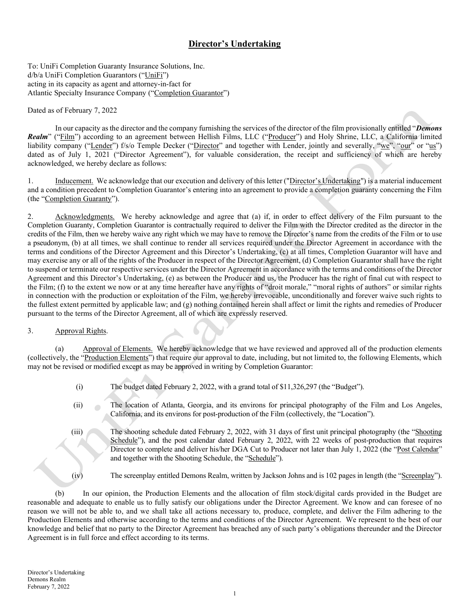# Director's Undertaking

To: UniFi Completion Guaranty Insurance Solutions, Inc. d/b/a UniFi Completion Guarantors ("UniFi") acting in its capacity as agent and attorney-in-fact for Atlantic Specialty Insurance Company ("Completion Guarantor")

#### Dated as of February 7, 2022

In our capacity as the director and the company furnishing the services of the director of the film provisionally entitled "Demons" Realm" ("Film") according to an agreement between Hellish Films, LLC ("Producer") and Holy Shrine, LLC, a California limited liability company ("Lender") f/s/o Temple Decker ("Director" and together with Lender, jointly and severally, "we", "our" or "us") dated as of July 1, 2021 ("Director Agreement"), for valuable consideration, the receipt and sufficiency of which are hereby acknowledged, we hereby declare as follows:

1. Inducement. We acknowledge that our execution and delivery of this letter ("Director's Undertaking") is a material inducement and a condition precedent to Completion Guarantor's entering into an agreement to provide a completion guaranty concerning the Film (the "Completion Guaranty").

2. Acknowledgments. We hereby acknowledge and agree that (a) if, in order to effect delivery of the Film pursuant to the Completion Guaranty, Completion Guarantor is contractually required to deliver the Film with the Director credited as the director in the credits of the Film, then we hereby waive any right which we may have to remove the Director's name from the credits of the Film or to use a pseudonym, (b) at all times, we shall continue to render all services required under the Director Agreement in accordance with the terms and conditions of the Director Agreement and this Director's Undertaking, (c) at all times, Completion Guarantor will have and may exercise any or all of the rights of the Producer in respect of the Director Agreement, (d) Completion Guarantor shall have the right to suspend or terminate our respective services under the Director Agreement in accordance with the terms and conditions of the Director Agreement and this Director's Undertaking, (e) as between the Producer and us, the Producer has the right of final cut with respect to the Film; (f) to the extent we now or at any time hereafter have any rights of "droit morale," "moral rights of authors" or similar rights in connection with the production or exploitation of the Film, we hereby irrevocable, unconditionally and forever waive such rights to the fullest extent permitted by applicable law; and (g) nothing contained herein shall affect or limit the rights and remedies of Producer pursuant to the terms of the Director Agreement, all of which are expressly reserved.

#### 3. Approval Rights.

(a) Approval of Elements. We hereby acknowledge that we have reviewed and approved all of the production elements (collectively, the "Production Elements") that require our approval to date, including, but not limited to, the following Elements, which may not be revised or modified except as may be approved in writing by Completion Guarantor:

- (i) The budget dated February 2, 2022, with a grand total of \$11,326,297 (the "Budget").
- (ii) The location of Atlanta, Georgia, and its environs for principal photography of the Film and Los Angeles, California, and its environs for post-production of the Film (collectively, the "Location").
- (iii) The shooting schedule dated February 2, 2022, with 31 days of first unit principal photography (the "Shooting Schedule"), and the post calendar dated February 2, 2022, with 22 weeks of post-production that requires Director to complete and deliver his/her DGA Cut to Producer not later than July 1, 2022 (the "Post Calendar" and together with the Shooting Schedule, the "Schedule").
- (iv) The screenplay entitled Demons Realm, written by Jackson Johns and is 102 pages in length (the "Screenplay").

(b) In our opinion, the Production Elements and the allocation of film stock/digital cards provided in the Budget are reasonable and adequate to enable us to fully satisfy our obligations under the Director Agreement. We know and can foresee of no reason we will not be able to, and we shall take all actions necessary to, produce, complete, and deliver the Film adhering to the Production Elements and otherwise according to the terms and conditions of the Director Agreement. We represent to the best of our knowledge and belief that no party to the Director Agreement has breached any of such party's obligations thereunder and the Director Agreement is in full force and effect according to its terms.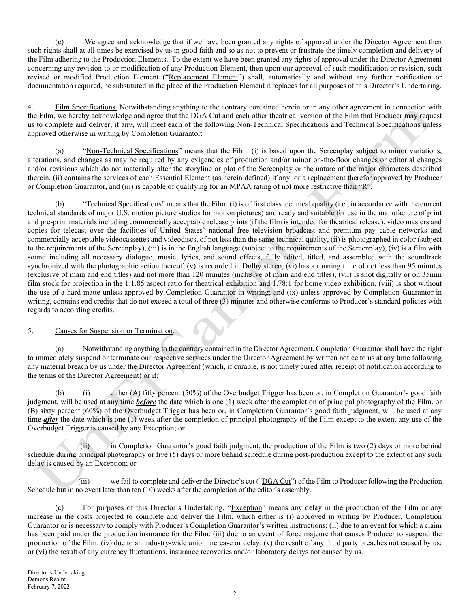(c) We agree and acknowledge that if we have been granted any rights of approval under the Director Agreement then such rights shall at all times be exercised by us in good faith and so as not to prevent or frustrate the timely completion and delivery of the Film adhering to the Production Elements. To the extent we have been granted any rights of approval under the Director Agreement concerning any revision to or modification of any Production Element, then upon our approval of such modification or revision, such revised or modified Production Element ("Replacement Element") shall, automatically and without any further notification or documentation required, be substituted in the place of the Production Element it replaces for all purposes of this Director's Undertaking.

4. Film Specifications. Notwithstanding anything to the contrary contained herein or in any other agreement in connection with the Film, we hereby acknowledge and agree that the DGA Cut and each other theatrical version of the Film that Producer may request us to complete and deliver, if any, will meet each of the following Non-Technical Specifications and Technical Specifications unless approved otherwise in writing by Completion Guarantor:

(a) "Non-Technical Specifications" means that the Film: (i) is based upon the Screenplay subject to minor variations, alterations, and changes as may be required by any exigencies of production and/or minor on-the-floor changes or editorial changes and/or revisions which do not materially alter the storyline or plot of the Screenplay or the nature of the major characters described therein, (ii) contains the services of each Essential Element (as herein defined) if any, or a replacement therefor approved by Producer or Completion Guarantor, and (iii) is capable of qualifying for an MPAA rating of not more restrictive than "R".

(b) "Technical Specifications" means that the Film: (i) is of first class technical quality (i.e., in accordance with the current technical standards of major U.S. motion picture studios for motion pictures) and ready and suitable for use in the manufacture of print and pre-print materials including commercially acceptable release prints (if the film is intended for theatrical release), video masters and copies for telecast over the facilities of United States' national free television broadcast and premium pay cable networks and commercially acceptable videocassettes and videodiscs, of not less than the same technical quality, (ii) is photographed in color (subject to the requirements of the Screenplay), (iii) is in the English language (subject to the requirements of the Screenplay), (iv) is a film with sound including all necessary dialogue, music, lyrics, and sound effects, fully edited, titled, and assembled with the soundtrack synchronized with the photographic action thereof, (v) is recorded in Dolby stereo, (vi) has a running time of not less than 95 minutes (exclusive of main and end titles) and not more than 120 minutes (inclusive of main and end titles), (vii) is shot digitally or on 35mm film stock for projection in the 1:1.85 aspect ratio for theatrical exhibition and 1.78:1 for home video exhibition, (viii) is shot without the use of a hard matte unless approved by Completion Guarantor in writing; and (ix) unless approved by Completion Guarantor in writing, contains end credits that do not exceed a total of three (3) minutes and otherwise conforms to Producer's standard policies with regards to according credits.

### 5. Causes for Suspension or Termination.

(a) Notwithstanding anything to the contrary contained in the Director Agreement, Completion Guarantor shall have the right to immediately suspend or terminate our respective services under the Director Agreement by written notice to us at any time following any material breach by us under the Director Agreement (which, if curable, is not timely cured after receipt of notification according to the terms of the Director Agreement) or if:

(b) (i) either (A) fifty percent (50%) of the Overbudget Trigger has been or, in Completion Guarantor's good faith judgment, will be used at any time **before** the date which is one (1) week after the completion of principal photography of the Film, or (B) sixty percent (60%) of the Overbudget Trigger has been or, in Completion Guarantor's good faith judgment, will be used at any time *after* the date which is one (1) week after the completion of principal photography of the Film except to the extent any use of the Overbudget Trigger is caused by any Exception; or

(ii) in Completion Guarantor's good faith judgment, the production of the Film is two (2) days or more behind schedule during principal photography or five (5) days or more behind schedule during post-production except to the extent of any such delay is caused by an Exception; or

(iii) we fail to complete and deliver the Director's cut (" $\underline{DGA Cut}$ ") of the Film to Producer following the Production Schedule but in no event later than ten (10) weeks after the completion of the editor's assembly.

(c) For purposes of this Director's Undertaking, "Exception" means any delay in the production of the Film or any increase in the costs projected to complete and deliver the Film, which either is (i) approved in writing by Producer, Completion Guarantor or is necessary to comply with Producer's Completion Guarantor's written instructions; (ii) due to an event for which a claim has been paid under the production insurance for the Film; (iii) due to an event of force majeure that causes Producer to suspend the production of the Film; (iv) due to an industry-wide union increase or delay; (v) the result of any third party breaches not caused by us; or (vi) the result of any currency fluctuations, insurance recoveries and/or laboratory delays not caused by us.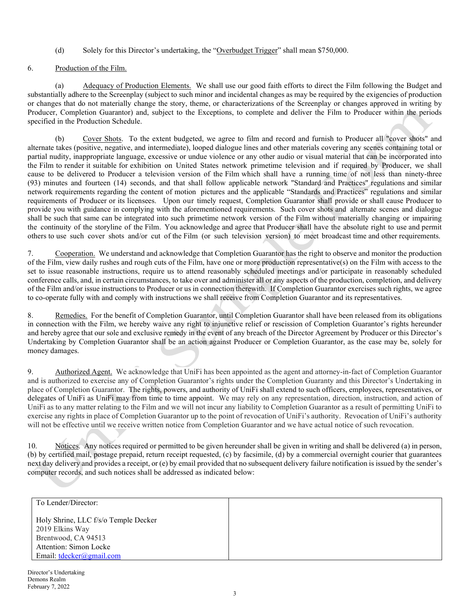## (d) Solely for this Director's undertaking, the "Overbudget Trigger" shall mean \$750,000.

### 6. Production of the Film.

(a) Adequacy of Production Elements. We shall use our good faith efforts to direct the Film following the Budget and substantially adhere to the Screenplay (subject to such minor and incidental changes as may be required by the exigencies of production or changes that do not materially change the story, theme, or characterizations of the Screenplay or changes approved in writing by Producer, Completion Guarantor) and, subject to the Exceptions, to complete and deliver the Film to Producer within the periods specified in the Production Schedule.

(b) Cover Shots. To the extent budgeted, we agree to film and record and furnish to Producer all "cover shots" and alternate takes (positive, negative, and intermediate), looped dialogue lines and other materials covering any scenes containing total or partial nudity, inappropriate language, excessive or undue violence or any other audio or visual material that can be incorporated into the Film to render it suitable for exhibition on United States network primetime television and if required by Producer, we shall cause to be delivered to Producer a television version of the Film which shall have a running time of not less than ninety-three (93) minutes and fourteen (14) seconds, and that shall follow applicable network "Standard and Practices" regulations and similar network requirements regarding the content of motion pictures and the applicable "Standards and Practices" regulations and similar requirements of Producer or its licensees. Upon our timely request, Completion Guarantor shall provide or shall cause Producer to provide you with guidance in complying with the aforementioned requirements. Such cover shots and alternate scenes and dialogue shall be such that same can be integrated into such primetime network version of the Film without materially changing or impairing the continuity of the storyline of the Film. You acknowledge and agree that Producer shall have the absolute right to use and permit others to use such cover shots and/or cut of the Film (or such television version) to meet broadcast time and other requirements.

7. Cooperation. We understand and acknowledge that Completion Guarantor has the right to observe and monitor the production of the Film, view daily rushes and rough cuts of the Film, have one or more production representative(s) on the Film with access to the set to issue reasonable instructions, require us to attend reasonably scheduled meetings and/or participate in reasonably scheduled conference calls, and, in certain circumstances, to take over and administer all or any aspects of the production, completion, and delivery of the Film and/or issue instructions to Producer or us in connection therewith. If Completion Guarantor exercises such rights, we agree to co-operate fully with and comply with instructions we shall receive from Completion Guarantor and its representatives.

8. Remedies. For the benefit of Completion Guarantor, until Completion Guarantor shall have been released from its obligations in connection with the Film, we hereby waive any right to injunctive relief or rescission of Completion Guarantor's rights hereunder and hereby agree that our sole and exclusive remedy in the event of any breach of the Director Agreement by Producer or this Director's Undertaking by Completion Guarantor shall be an action against Producer or Completion Guarantor, as the case may be, solely for money damages.

9. Authorized Agent. We acknowledge that UniFi has been appointed as the agent and attorney-in-fact of Completion Guarantor and is authorized to exercise any of Completion Guarantor's rights under the Completion Guaranty and this Director's Undertaking in place of Completion Guarantor. The rights, powers, and authority of UniFi shall extend to such officers, employees, representatives, or delegates of UniFi as UniFi may from time to time appoint. We may rely on any representation, direction, instruction, and action of UniFi as to any matter relating to the Film and we will not incur any liability to Completion Guarantor as a result of permitting UniFi to exercise any rights in place of Completion Guarantor up to the point of revocation of UniFi's authority. Revocation of UniFi's authority will not be effective until we receive written notice from Completion Guarantor and we have actual notice of such revocation.

10. Notices. Any notices required or permitted to be given hereunder shall be given in writing and shall be delivered (a) in person, (b) by certified mail, postage prepaid, return receipt requested, (c) by facsimile, (d) by a commercial overnight courier that guarantees next day delivery and provides a receipt, or (e) by email provided that no subsequent delivery failure notification is issued by the sender's computer records, and such notices shall be addressed as indicated below:

| To Lender/Director:                                                            |  |
|--------------------------------------------------------------------------------|--|
| Holy Shrine, LLC f/s/o Temple Decker<br>2019 Elkins Way<br>Brentwood, CA 94513 |  |
| Attention: Simon Locke                                                         |  |
| Email: $tdecker(\partial gmail.com)$                                           |  |

Director's Undertaking Demons Realm February 7, 2022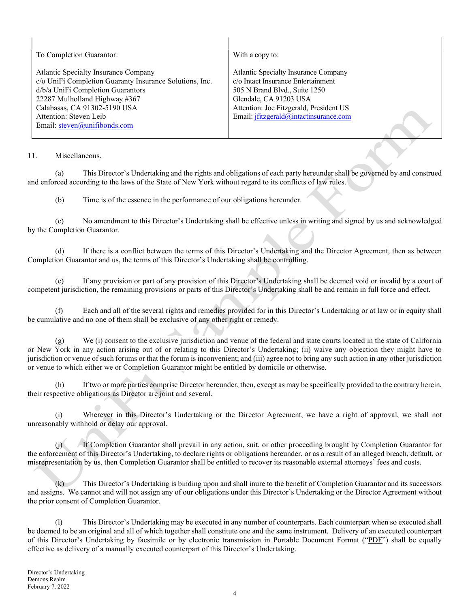| To Completion Guarantor:                                                                                                                                                                                                                                        | With a copy to:                                                                                                                                                                                                            |
|-----------------------------------------------------------------------------------------------------------------------------------------------------------------------------------------------------------------------------------------------------------------|----------------------------------------------------------------------------------------------------------------------------------------------------------------------------------------------------------------------------|
| Atlantic Specialty Insurance Company<br>c/o UniFi Completion Guaranty Insurance Solutions, Inc.<br>d/b/a UniFi Completion Guarantors<br>22287 Mulholland Highway #367<br>Calabasas, CA 91302-5190 USA<br>Attention: Steven Leib<br>Email: steven@unifibonds.com | Atlantic Specialty Insurance Company<br>c/o Intact Insurance Entertainment<br>505 N Brand Blvd., Suite 1250<br>Glendale, CA 91203 USA<br>Attention: Joe Fitzgerald, President US<br>Email: jfitzgerald@intactinsurance.com |

### 11. Miscellaneous.

(a) This Director's Undertaking and the rights and obligations of each party hereunder shall be governed by and construed and enforced according to the laws of the State of New York without regard to its conflicts of law rules.

(b) Time is of the essence in the performance of our obligations hereunder.

(c) No amendment to this Director's Undertaking shall be effective unless in writing and signed by us and acknowledged by the Completion Guarantor.

(d) If there is a conflict between the terms of this Director's Undertaking and the Director Agreement, then as between Completion Guarantor and us, the terms of this Director's Undertaking shall be controlling.

(e) If any provision or part of any provision of this Director's Undertaking shall be deemed void or invalid by a court of competent jurisdiction, the remaining provisions or parts of this Director's Undertaking shall be and remain in full force and effect.

(f) Each and all of the several rights and remedies provided for in this Director's Undertaking or at law or in equity shall be cumulative and no one of them shall be exclusive of any other right or remedy.

(g) We (i) consent to the exclusive jurisdiction and venue of the federal and state courts located in the state of California or New York in any action arising out of or relating to this Director's Undertaking; (ii) waive any objection they might have to jurisdiction or venue of such forums or that the forum is inconvenient; and (iii) agree not to bring any such action in any other jurisdiction or venue to which either we or Completion Guarantor might be entitled by domicile or otherwise.

(h) If two or more parties comprise Director hereunder, then, except as may be specifically provided to the contrary herein, their respective obligations as Director are joint and several.

(i) Wherever in this Director's Undertaking or the Director Agreement, we have a right of approval, we shall not unreasonably withhold or delay our approval.

(j) If Completion Guarantor shall prevail in any action, suit, or other proceeding brought by Completion Guarantor for the enforcement of this Director's Undertaking, to declare rights or obligations hereunder, or as a result of an alleged breach, default, or misrepresentation by us, then Completion Guarantor shall be entitled to recover its reasonable external attorneys' fees and costs.

(k) This Director's Undertaking is binding upon and shall inure to the benefit of Completion Guarantor and its successors and assigns. We cannot and will not assign any of our obligations under this Director's Undertaking or the Director Agreement without the prior consent of Completion Guarantor.

(l) This Director's Undertaking may be executed in any number of counterparts. Each counterpart when so executed shall be deemed to be an original and all of which together shall constitute one and the same instrument. Delivery of an executed counterpart of this Director's Undertaking by facsimile or by electronic transmission in Portable Document Format ("PDF") shall be equally effective as delivery of a manually executed counterpart of this Director's Undertaking.